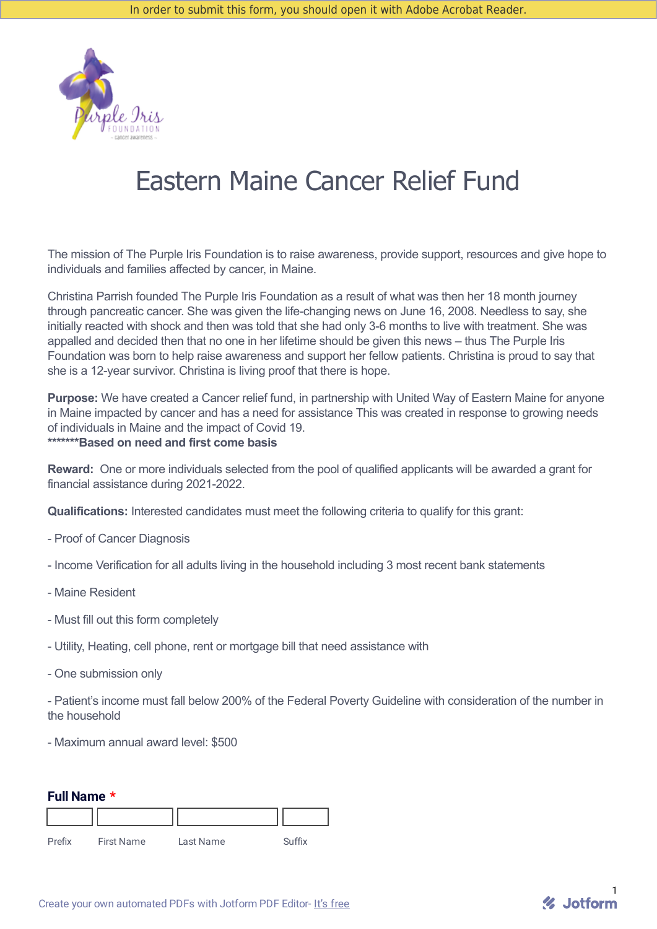

# Eastern Maine Cancer Relief Fund

The mission of The Purple Iris Foundation is to raise awareness, provide support, resources and give hope to individuals and families affected by cancer, in Maine.

Christina Parrish founded The Purple Iris Foundation as a result of what was then her 18 month journey through pancreatic cancer. She was given the life-changing news on June 16, 2008. Needless to say, she initially reacted with shock and then was told that she had only 3-6 months to live with treatment. She was appalled and decided then that no one in her lifetime should be given this news – thus The Purple Iris Foundation was born to help raise awareness and support her fellow patients. Christina is proud to say that she is a 12-year survivor. Christina is living proof that there is hope.

**Purpose:** We have created a Cancer relief fund, in partnership with United Way of Eastern Maine for anyone in Maine impacted by cancer and has a need for assistance This was created in response to growing needs of individuals in Maine and the impact of Covid 19. **\*\*\*\*\*\*\*Based on need and first come basis**

**Reward:** One or more individuals selected from the pool of qualified applicants will be awarded a grant for financial assistance during 2021-2022.

**Qualifications:** Interested candidates must meet the following criteria to qualify for this grant:

- Proof of Cancer Diagnosis
- Income Verification for all adults living in the household including 3 most recent bank statements
- Maine Resident
- Must fill out this form completely
- Utility, Heating, cell phone, rent or mortgage bill that need assistance with
- One submission only

- Patient's income must fall below 200% of the Federal Poverty Guideline with consideration of the number in the household

- Maximum annual award level: \$500

| Full Name * |  |
|-------------|--|
|-------------|--|

| Prefix | <b>First Name</b> | Last Name | Suffix |
|--------|-------------------|-----------|--------|

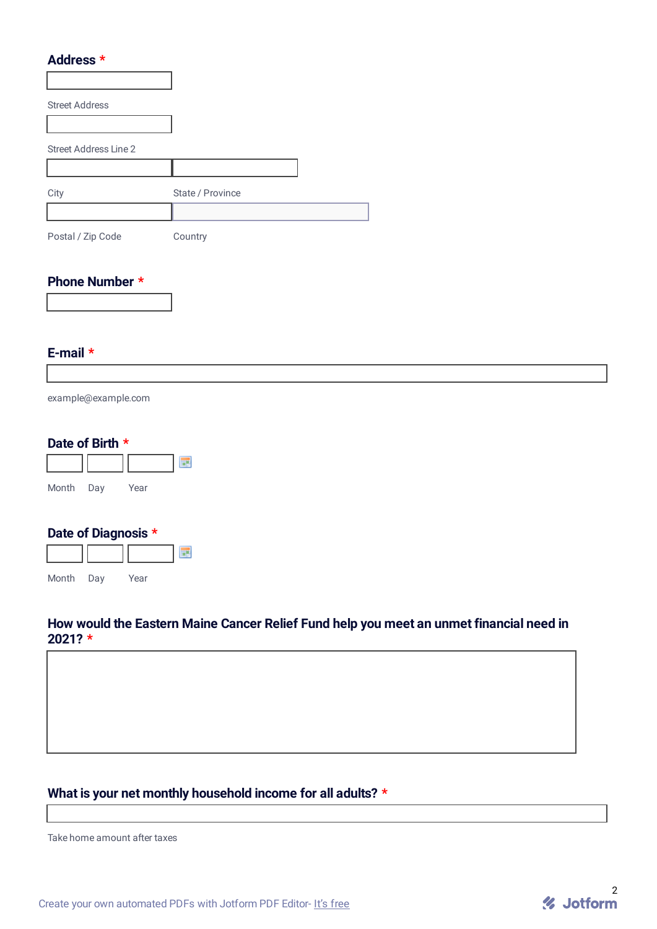#### **Address \***

| <b>Street Address</b>        |                  |  |
|------------------------------|------------------|--|
|                              |                  |  |
| <b>Street Address Line 2</b> |                  |  |
|                              |                  |  |
| City                         | State / Province |  |
|                              |                  |  |
| Postal / Zip Code            | Country          |  |

#### **Phone Number \***

#### **E-mail \***

example@example.com

#### **Date of Birth \***



## **Date of Diagnosis \***



## **How would the Eastern Maine Cancer Relief Fund help you meet an unmet financial need in 2021? \***

# **What is your net monthly household income for all adults? \***

Take home amount after taxes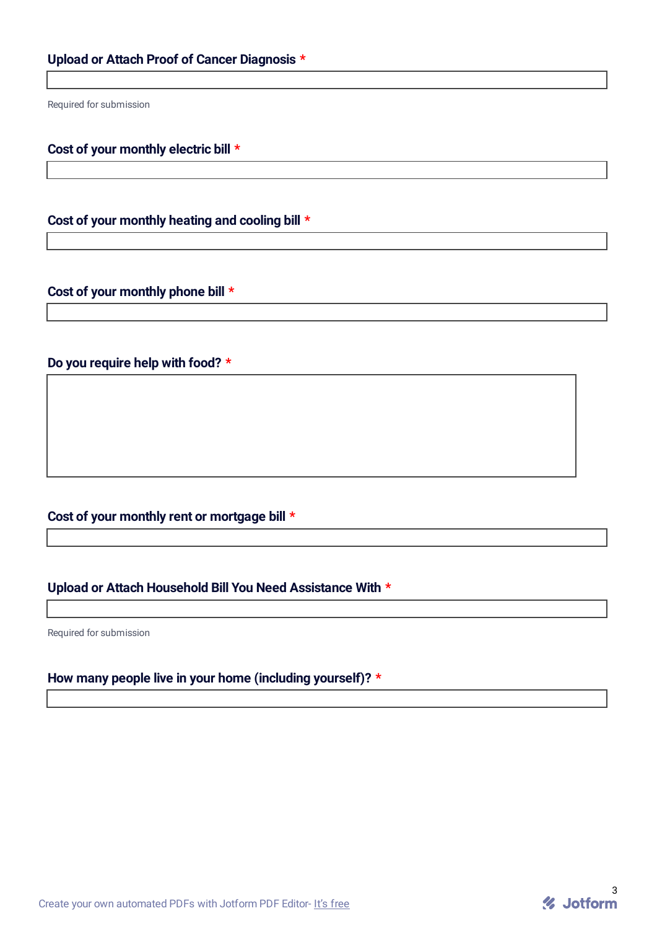Required for submission

#### **Cost of your monthly electric bill \***

**Cost of your monthly heating and cooling bill \***

#### **Cost of your monthly phone bill \***

## **Do you require help with food? \***

# **Cost of your monthly rent or mortgage bill \***

## **Upload or Attach Household Bill You Need Assistance With \***

Required for submission

## **How many people live in your home (including yourself)? \***